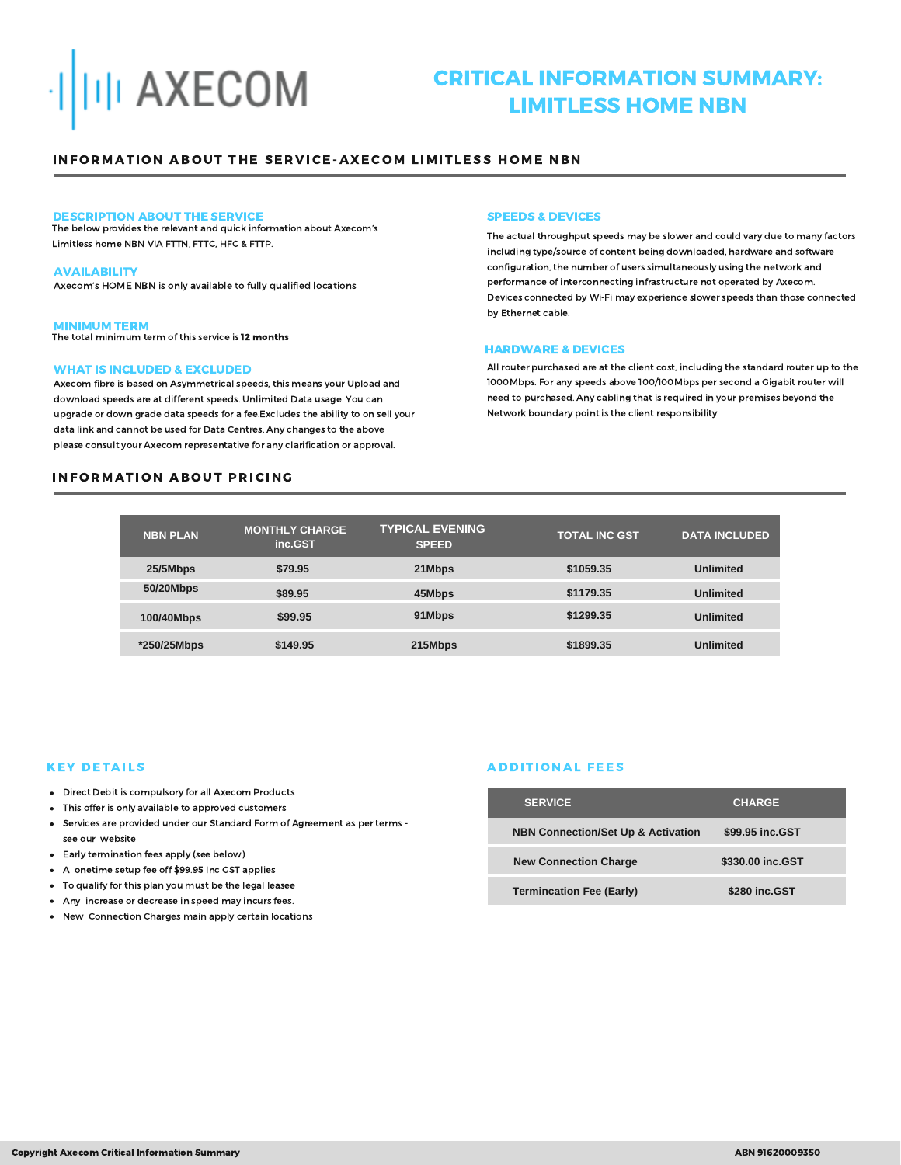

# CRITICAL INFORMATION SUMMARY: LIMITLESS HOME NBN

# INFORMATION ABOUT THE SERVICE-AXECOM LIMITLESS HOME NBN

#### DESCRIPTION ABOUT THE SERVICE

The below provides the relevant and quick information about Axecom's Limitless home NBN VIA FTTN, FTTC, HFC & FTTP.

#### AVAILABILITY

Axecom's HOME NBN is only available to fully qualified locations

#### MINIMUM TERM

The total minimum term of this service is 12 months

## WHAT IS INCLUDED & EXCLUDED

Axecom fibre is based on Asymmetrical speeds, this means your Upload and download speeds are at different speeds. Unlimited Data usage. You can upgrade or down grade data speeds for a fee.Excludes the ability to on sell your data link and cannot be used for Data Centres. Any changes to the above please consult your Axecom representative for any clarification or approval.

# **INFORMATION ABOUT PRICING**

#### SPEEDS & DEVICES

The actual throughput speeds may be slower and could vary due to many factors including type/source of content being downloaded, hardware and software configuration, the number of users simultaneously using the network and performance of interconnecting infrastructure not operated by Axecom. Devices connected by Wi-Fi may experience slower speeds than those connected by Ethernet cable.

#### HARDWARE & DEVICES

All router purchased are at the client cost, including the standard router up to the 1000Mbps. For any speeds above 100/100Mbps per second a Gigabit router will need to purchased. Any cabling that is required in your premises beyond the Network boundary point is the client responsibility.

| <b>NBN PLAN</b> | <b>MONTHLY CHARGE</b><br>inc.GST | <b>TYPICAL EVENING</b><br><b>SPEED</b> | <b>TOTAL INC GST</b> | <b>DATA INCLUDED</b> |
|-----------------|----------------------------------|----------------------------------------|----------------------|----------------------|
| 25/5Mbps        | \$79.95                          | 21Mbps                                 | \$1059.35            | <b>Unlimited</b>     |
| 50/20Mbps       | \$89.95                          | 45Mbps                                 | \$1179.35            | <b>Unlimited</b>     |
| 100/40Mbps      | \$99.95                          | 91Mbps                                 | \$1299.35            | <b>Unlimited</b>     |
| *250/25Mbps     | \$149.95                         | 215Mbps                                | \$1899.35            | <b>Unlimited</b>     |

# **KEY DETAILS**

- Direct Debit is compulsory for all Axecom Products
- This offer is only available to approved customers
- Services are provided under our Standard Form of Agreement as per terms see our website
- Early termination fees apply (see below)
- A onetime setup fee off \$99.95 Inc GST applies
- To qualify for this plan you must be the legal leasee
- Any increase or decrease in speed may incurs fees.
- New Connection Charges main apply certain locations

# **ADDITIONAL FEES**

| <b>SERVICE</b>                                | <b>CHARGE</b>    |
|-----------------------------------------------|------------------|
| <b>NBN Connection/Set Up &amp; Activation</b> | \$99.95 inc.GST  |
| <b>New Connection Charge</b>                  | \$330.00 inc.GST |
| <b>Termincation Fee (Early)</b>               | \$280 inc.GST    |